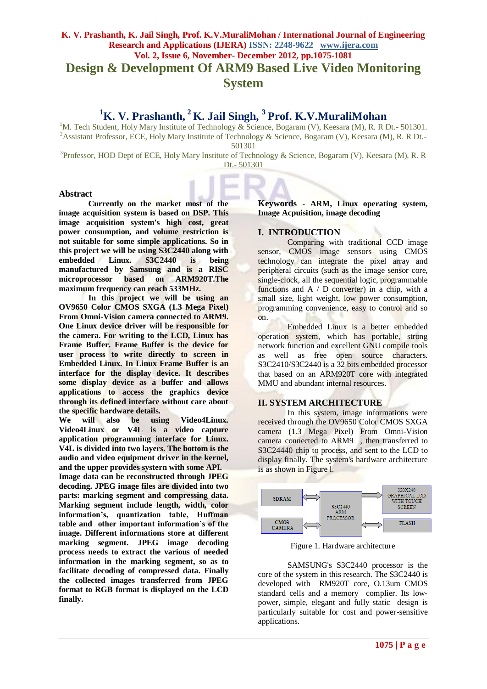# **K. V. Prashanth, K. Jail Singh, Prof. K.V.MuraliMohan / International Journal of Engineering Research and Applications (IJERA) ISSN: 2248-9622 www.ijera.com Vol. 2, Issue 6, November- December 2012, pp.1075-1081 Design & Development Of ARM9 Based Live Video Monitoring System**

# **<sup>1</sup>K. V. Prashanth, <sup>2</sup>K. Jail Singh, <sup>3</sup>Prof. K.V.MuraliMohan**

<sup>1</sup>M. Tech Student, Holy Mary Institute of Technology & Science, Bogaram (V), Keesara (M), R. R Dt.- 501301. <sup>2</sup> Assistant Professor, ECE, Holy Mary Institute of Technology & Science, Bogaram (V), Keesara (M), R. R Dt.-501301

<sup>3</sup>Professor, HOD Dept of ECE, Holy Mary Institute of Technology & Science, Bogaram (V), Keesara (M), R. R Dt.- 501301

#### **Abstract**

**Currently on the market most of the image acquisition system is based on DSP. This image acquisition system's high cost, great power consumption, and volume restriction is not suitable for some simple applications. So in this project we will be using S3C2440 along with embedded Linux. S3C2440 is being manufactured by Samsung and is a RISC microprocessor based on ARM920T.The maximum frequency can reach 533MHz.**

**In this project we will be using an OV9650 Color CMOS SXGA (1.3 Mega Pixel) From Omni-Vision camera connected to ARM9. One Linux device driver will be responsible for the camera. For writing to the LCD, Linux has Frame Buffer. Frame Buffer is the device for user process to write directly to screen in Embedded Linux. In Linux Frame Buffer is an interface for the display device. It describes some display device as a buffer and allows applications to access the graphics device through its defined interface without care about the specific hardware details.**

**We will also be using Video4Linux. Video4Linux or V4L is a video capture application programming interface for Linux. V4L is divided into two layers. The bottom is the audio and video equipment driver in the kernel, and the upper provides systern with some API.** 

**Image data can be reconstructed through JPEG decoding. JPEG image files are divided into two parts: marking segment and compressing data. Marking segment include length, width, color information's, quantization table, Huffman table and other important information's of the image. Different informations store at different marking segment. JPEG image decoding process needs to extract the various of needed information in the marking segment, so as to facilitate decoding of compressed data. Finally the collected images transferred from JPEG format to RGB format is displayed on the LCD finally.**

**Keywords - ARM, Linux operating system, Image Acpuisition, image decoding**

# **I. INTRODUCTION**

Comparing with traditional CCD image sensor, CMOS image sensors using CMOS technology can integrate the pixel array and peripheral circuits (such as the image sensor core, single-clock, all the sequential logic, programmable functions and  $A / D$  converter) in a chip, with a small size, light weight, low power consumption, programming convenience, easy to control and so on.

Embedded Linux is a better embedded operation system, which has portable, strong network function and excellent GNU compile tools as well as free open source characters. S3C2410/S3C2440 is a 32 bits embedded processor that based on an ARM920T core with integrated MMU and abundant internal resources.

# **II. SYSTEM ARCHITECTURE**

In this system, image informations were received through the OV9650 Color CMOS SXGA camera (1.3 Mega Pixel) From Omni-Vision camera connected to ARM9 , then transferred to S3C24440 chip to process, and sent to the LCD to display finally. The system's hardware architecture is as shown in Figure l.



Figure 1. Hardware architecture

SAMSUNG's S3C2440 processor is the core of the system in this research. The S3C2440 is developed with RM920T core, O.13um CMOS standard cells and a memory complier. Its lowpower, simple, elegant and fully static design is particularly suitable for cost and power-sensitive applications.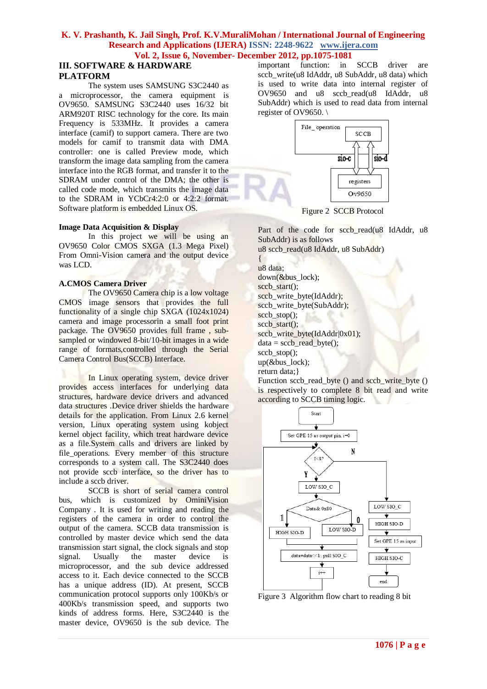# **III. SOFTWARE & HARDWARE PLATFORM**

The system uses SAMSUNG S3C2440 as a microprocessor, the camera equipment is OV9650. SAMSUNG S3C2440 uses 16/32 bit ARM920T RISC technology for the core. Its main Frequency is 533MHz. It provides a camera interface (camif) to support camera. There are two models for camif to transmit data with DMA controller: one is called Preview mode, which transform the image data sampling from the camera interface into the RGB format, and transfer it to the SDRAM under control of the DMA; the other is called code mode, which transmits the image data to the SDRAM in YCbCr4:2:0 or 4:2:2 format. Software platform is embedded Linux OS.

#### **Image Data Acquisition & Display**

In this project we will be using an OV9650 Color CMOS SXGA (1.3 Mega Pixel) From Omni-Vision camera and the output device was LCD.

# **A.CMOS Camera Driver**

The OV9650 Camera chip is a low voltage CMOS image sensors that provides the full functionality of a single chip SXGA (1024x1024) camera and image processorin a small foot print package. The OV9650 provides full frame , subsampled or windowed 8-bit/10-bit images in a wide range of formats,controlled through the Serial Camera Control Bus(SCCB) Interface.

In Linux operating system, device driver provides access interfaces for underlying data structures, hardware device drivers and advanced data structures .Device driver shields the hardware details for the application. From Linux 2.6 kernel version, Linux operating system using kobject kernel object facility, which treat hardware device as a file.System calls and drivers are linked by file operations. Every member of this structure corresponds to a system call. The S3C2440 does not provide sccb interface, so the driver has to include a sccb driver.

SCCB is short of serial camera control bus, which is customized by OminiVision Company . It is used for writing and reading the registers of the camera in order to control the output of the camera. SCCB data transmission is controlled by master device which send the data transmission start signal, the clock signals and stop signal. Usually the master device is microprocessor, and the sub device addressed access to it. Each device connected to the SCCB has a unique address (ID). At present, SCCB communication protocol supports only 100Kb/s or 400Kb/s transmission speed, and supports two kinds of address forms. Here, S3C2440 is the master device, OV9650 is the sub device. The

important function: in SCCB driver are sccb\_write(u8 IdAddr, u8 SubAddr, u8 data) which is used to write data into internal register of OV9650 and u8 sccb\_read(u8 IdAddr, u8 SubAddr) which is used to read data from internal register of OV9650. \



Figure 2 SCCB Protocol

Part of the code for sccb\_read(u8 IdAddr, u8 SubAddr) is as follows u8 sccb\_read(u8 IdAddr, u8 SubAddr)

{ u8 data; down(&bus\_lock); sccb start(); sccb\_write\_byte(IdAddr); sccb\_write\_byte(SubAddr); sccb stop $()$ ; sccb start(); sccb\_write\_byte(IdAddr|0x01);  $data = sccb\_read\_byte();$ sccb\_stop(); up(&bus\_lock); return data;}

Function sccb\_read\_byte () and sccb\_write\_byte () is respectively to complete 8 bit read and write according to SCCB timing logic.



Figure 3 Algorithm flow chart to reading 8 bit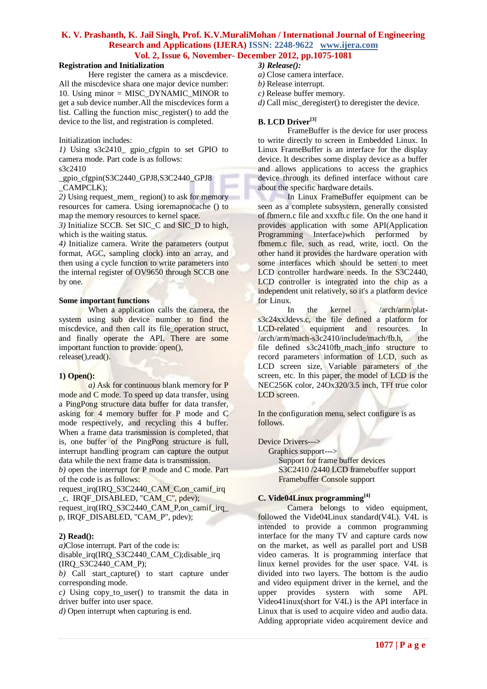#### **Registration and Initialization**

Here register the camera as a miscdevice. All the miscdevice shara one major device number: 10. Using minor = MISC\_DYNAMIC\_MINOR to get a sub device number.All the miscdevices form a list. Calling the function misc\_register() to add the device to the list, and registration is completed.

#### Initialization includes:

*1)* Using s3c2410\_ gpio\_cfgpin to set GPIO to camera mode. Part code is as follows: s3c2410

\_gpio\_cfgpin(S3C2440\_GPJ8,S3C2440\_GPJ8 \_CAMPCLK);

*2)* Using request\_mem\_ region() to ask for memory resources for camera. Using ioremapnocache () to map the memory resources to kernel space.

*3)* Initialize SCCB. Set SIC\_C and SIC\_D to high, which is the waiting status.

*4)* Initialize camera. Write the parameters (output format, AGC, sampling clock) into an array, and then using a cycle function to write parameters into the internal register of OV9650 through SCCB one by one.

#### **Some important functions**

When a application calls the camera, the system using sub device number to find the miscdevice, and then call its file operation struct, and finally operate the API. There are some important function to provide: open(), release(),read().

#### **1) Open():**

*a*) Ask for continuous blank memory for P mode and C mode. To speed up data transfer, using a PingPong structure data buffer for data transfer, asking for 4 memory buffer for P mode and C mode respectively, and recycling this 4 buffer. When a frame data transmission is completed, that is, one buffer of the PingPong structure is full, interrupt handling program can capture the output data while the next frame data is transmission.

*b)* open the interrupt for P mode and C mode. Part of the code is as follows:

request irq(IRQ\_S3C2440\_CAM\_C,on\_camif\_irq c, IRQF DISABLED, "CAM\_C", pdev); request irq(IRQ\_S3C2440\_CAM\_P,on\_camif\_irq p, IRQF\_DISABLED, "CAM\_P", pdev);

#### **2) Read():**

*a)*Close interrupt. Part of the code is: disable irq(IRQ\_S3C2440\_CAM\_C);disable\_irq (IRQ\_S3C2440\_CAM\_P);

*b)* Call start\_capture() to start capture under corresponding mode.

*c*) Using copy to user() to transmit the data in driver buffer into user space.

*d)* Open interrupt when capturing is end.

- *3) Release():*
- *a)* Close camera interface.
- *b)* Release interrupt.
- *c)* Release buffer memory.
- *d*) Call misc\_deregister() to deregister the device.

#### **B. LCD Driver[3]**

FrameBuffer is the device for user process to write directly to screen in Embedded Linux. In Linux FrameBuffer is an interface for the display device. It describes some display device as a buffer and allows applications to access the graphics device through its defined interface without care about the specific hardware details.

In Linux FrameBuffer equipment can be seen as a complete subsystern, generally consisted of fbmern.c file and xxxfb.c file. On the one hand it provides application with some API(Application<br>Programming Interface)which performed by Programming Interface)which performed by fbmem.c file, such as read, write, ioctl. On the other hand it provides the hardware operation with some interfaces which should be setten to meet LCD controller hardware needs. In the S3C2440, LCD controller is integrated into the chip as a independent unit relatively, so it's a platform device for Linux.

In the kernel , /arch/arm/plats3c24xxJdevs.c, the file defined a platform for LCD-related equipment and resources. In /arch/arm/mach-s3c2410/include/mach/fb.h, the file defined s3c2410fb mach info structure to record parameters information of LCD, such as LCD screen size, Variable parameters of the screen, etc. In this paper, the model of LCD is the NEC256K color, 24Ox320/3.5 inch, TFf true color LCD screen.

In the configuration menu, select configure is as follows.

#### Device Drivers--->

 Graphics support---> Support for frame buffer devices S3C2410 /2440 LCD framebuffer support Framebuffer Console support

#### **C. Vide04Linux programming [4]**

Camera belongs to video equipment. followed the Vide04Linux standard(V4L). V4L is intended to provide a common programming interface for the many TV and capture cards now on the market, as well as parallel port and USB video cameras. It is programming interface that linux kernel provides for the user space. V4L is divided into two layers. The bottom is the audio and video equipment driver in the kernel, and the upper provides systern with some API. Video41inux(short for V4L) is the API interface in Linux that is used to acquire video and audio data. Adding appropriate video acquirement device and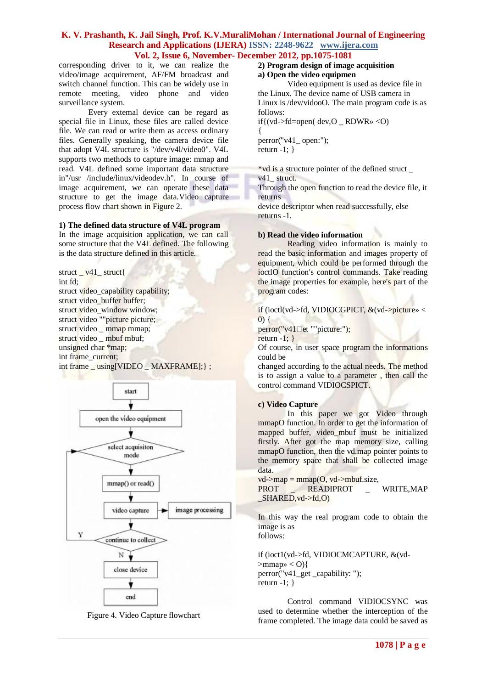corresponding driver to it, we can realize the video/image acquirement, AF/FM broadcast and switch channel function. This can be widely use in remote meeting, video phone and video surveillance system.

Every extemal device can be regard as special file in Linux, these files are called device file. We can read or write them as access ordinary files. Generally speaking, the camera device file that adopt V4L structure is "/dev/v4l/video0". V4L supports two methods to capture image: mmap and read. V4L defined some important data structure in"/usr /include/linux/videodev.h". In course of image acquirement, we can operate these data structure to get the image data.Video capture process flow chart shown in Figure 2.

#### **1) The defined data structure of V4L program**

In the image acquisition application, we can call some structure that the V4L defined. The following is the data structure defined in this article.

struct \_ v41\_ struct{ int fd; struct video\_capability capability; struct video buffer buffer; struct video window window: struct video ""picture picture; struct video mmap mmap; struct video \_ mbuf mbuf; unsigned char \*map; int frame\_current; int frame \_ using[VIDEO \_ MAXFRAME];} ;



Figure 4. Video Capture flowchart

#### **2) Program design of image acquisition a) Open the video equipmen**

Video equipment is used as device file in the Linux. The device name of USB camera in Linux is /dev/vidooO. The main program code is as follows:

if $\{ (vd$ ->fd=open $( dev, O \quad RDWR \gg < 0)$ 

{ perror(''v41\_ open:"); return  $-1$ ; }

\*vd is a structure pointer of the defined struct \_

v<sub>41</sub> struct.

Through the open function to read the device file, it returns

device descriptor when read successfully, else returns -1.

#### **b) Read the video information**

Reading video information is mainly to read the basic information and images property of equipment, which could be performed through the ioctlO function's control commands. Take reading the image properties for example, here's part of the program codes:

if (ioctl(vd->fd, VIDIOCGPICT, &(vd->picture» <  $(0)$  {

 $perror("v41$  $let$  ""picture:");

return  $-1$ ; }

Of course, in user space program the informations could be

changed according to the actual needs. The method is to assign a value to a parameter , then call the control command VIDIOCSPICT.

#### **c) Video Capture**

In this paper we got Video through mmapO function. In order to get the information of mapped buffer, video\_mbuf must be initialized firstly. After got the map memory size, calling mmapO function, then the vd.map pointer points to the memory space that shall be collected image data.

 $vd\text{-}map = \text{mmap}(O, vd\text{-}subuf.size,$ 

PROT \_ READIPROT \_ WRITE,MAP  $SHARED$ , vd- $>fd$ , O)

In this way the real program code to obtain the image is as follows:

if (ioct1(vd->fd, VIDIOCMCAPTURE, &(vd-  $>$ mmap»  $<$  O) $\{$ perror("v41\_get \_capability: "); return  $-1$ ; }

Control command VIDIOCSYNC was used to determine whether the interception of the frame completed. The image data could be saved as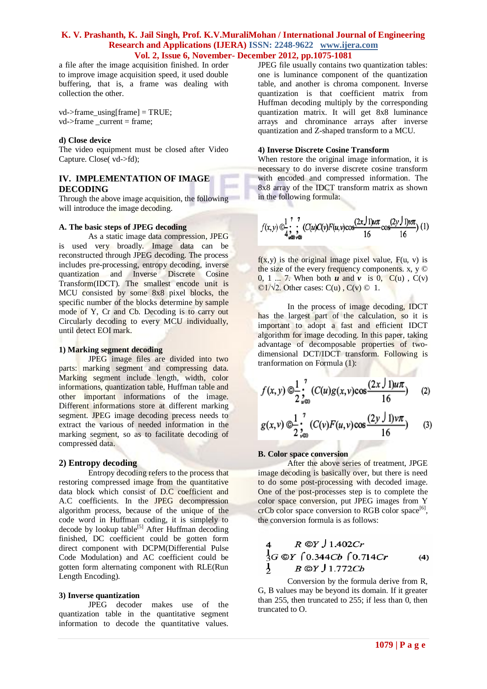a file after the image acquisition finished. In order to improve image acquisition speed, it used double buffering, that is, a frame was dealing with collection the other.

 $vd$ ->frame\_using[frame] = TRUE;  $vd$ ->frame current = frame;

#### **d) Close device**

The video equipment must be closed after Video Capture. Close( vd->fd);

# **IV. IMPLEMENTATION OF IMAGE DECODING**

Through the above image acquisition, the following will introduce the image decoding.

#### **A. The basic steps of JPEG decoding**

As a static image data compression, JPEG is used very broadly. Image data can be reconstructed through JPEG decoding. The process includes pre-processing, entropy decoding, inverse quantization and Inverse Discrete Cosine Transform(IDCT). The smallest encode unit is MCU consisted by some 8x8 pixel blocks, the specific number of the blocks determine by sample mode of Y, Cr and Cb. Decoding is to carry out Circularly decoding to every MCU individually, until detect EOI mark.

#### **1) Marking segment decoding**

JPEG image files are divided into two parts: marking segment and compressing data. Marking segment include length, width, color informations, quantization table, Huffman table and other important informations of the image. Different informations store at different marking segment. JPEG image decoding precess needs to extract the various of needed information in the marking segment, so as to facilitate decoding of compressed data.

#### **2) Entropy decoding**

Entropy decoding refers to the process that restoring compressed image from the quantitative data block which consist of D.C coefficient and A.C coefficients. In the JPEG decompression algorithm process, because of the unique of the code word in Huffman coding, it is simplely to decode by lookup table<sup>[5]</sup> After Huffman decoding finished, DC coefficient could be gotten form direct component with DCPM(Differential Pulse Code Modulation) and AC coefficient could be gotten form alternating component with RLE(Run Length Encoding).

#### **3) Inverse quantization**

JPEG decoder makes use of the quantization table in the quantitative segment information to decode the quantitative values. JPEG file usually contains two quantization tables: one is luminance component of the quantization table, and another is chroma component. Inverse quantization is that coefficient matrix from Huffman decoding multiply by the corresponding quantization matrix. It will get 8x8 luminance arrays and chrominance arrays after inverse quantization and Z-shaped transform to a MCU.

# **4) Inverse Discrete Cosine Transform**

When restore the original image information, it is necessary to do inverse discrete cosine transform with encoded and compressed information. The 8x8 array of the IDCT transform matrix as shown in the following formula:

$$
f(x, y) \bigcirc \frac{1}{4} \int_{u\omega v\omega}^{7} (C(u)C(v)F(u, v)\cos\frac{(2x\int 1)u\pi}{16}\cos\frac{(2y\int 1)v\pi}{16}) (1)
$$

 $f(x,y)$  is the original image pixel value,  $F(u, v)$  is the size of the every frequency components.  $x, y \odot$ 0, 1 ... 7. When both  $u$  and  $v$  is 0,  $C(u)$ ,  $C(v)$  $\mathbb{O}1/\sqrt{2}$ . Other cases:  $C(u)$ ,  $C(v)$   $\odot$  1.

In the process of image decoding, IDCT has the largest part of the calculation, so it is important to adopt a fast and efficient IDCT algorithm for image decoding. In this paper, taking advantage of decomposable properties of twodimensional DCT/IDCT transform. Following is tranformation on Formula (1):

$$
f(x, y) \bigcirc \frac{1}{2} \int_{u \otimes 0}^{7} (C(u)g(x, v) \cos \frac{(2x \int 1)u\pi}{16}) \qquad (2)
$$

$$
g(x,v) \bigcirc \frac{1}{2} \sum_{v=0}^{7} (C(v)F(u,v)\cos \frac{(2y \int 1)v\pi}{16})
$$
 (3)

#### **B. Color space conversion**

After the above series of treatment, JPGE image decoding is basically over, but there is need to do some post-processing with decoded image. One of the post-processes step is to complete the color space conversion, put JPEG images from Y  $crCb$  color space conversion to RGB color space<sup>[6]</sup>, the conversion formula is as follows:

4 
$$
R \odot Y
$$
 J 1.402*Cr*  
\n $\frac{1}{3}G \odot Y$  [0.344*Cb* [0.714*Cr* (4)  
\n $\frac{1}{2}$   $B \odot Y$  J 1.772*Cb*

Conversion by the formula derive from R, G, B values may be beyond its domain. If it greater than 255, then truncated to 255; if less than 0, then truncated to O.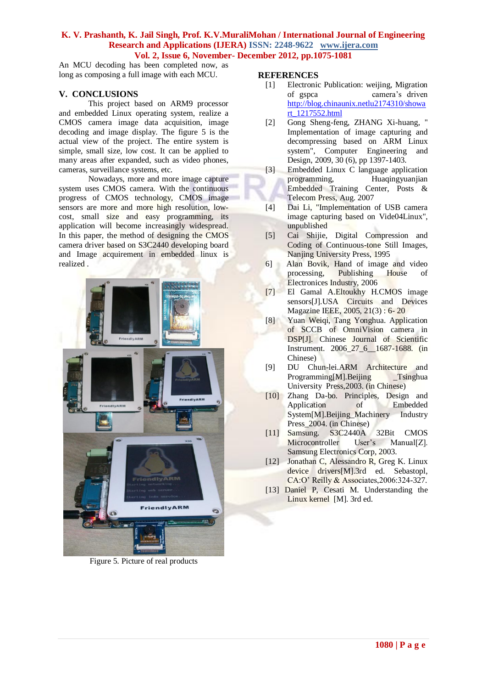An MCU decoding has been completed now, as long as composing a full image with each MCU.

# **V. CONCLUSIONS**

This project based on ARM9 processor and embedded Linux operating system, realize a CMOS camera image data acquisition, image decoding and image display. The figure 5 is the actual view of the project. The entire system is simple, small size, low cost. It can be applied to many areas after expanded, such as video phones, cameras, surveillance systems, etc.

Nowadays, more and more image capture system uses CMOS camera. With the continuous progress of CMOS technology, CMOS image sensors are more and more high resolution, lowcost, small size and easy programming, its application will become increasingly widespread. In this paper, the method of designing the CMOS camera driver based on S3C2440 developing board and Image acquirement in embedded linux is realized .



Figure 5. Picture of real products

# **REFERENCES**

- [1] Electronic Publication: weijing, Migration of gspca camera's driven [http://blog.chinaunix.netlu2174310/showa](http://blog.chinaunix.netlu2174310/showart_1217552.html) [rt\\_1217552.html](http://blog.chinaunix.netlu2174310/showart_1217552.html)
- [2] Gong Sheng-feng, ZHANG Xi-huang, " Implementation of image capturing and decompressing based on ARM Linux system", Computer Engineering and Design, 2009, 30 (6), pp 1397-1403.
- [3] Embedded Linux C language application programming, Huaqingyuanjian Embedded Training Center, Posts & Telecom Press, Aug. 2007
- [4] Dai Li, "Implementation of USB camera image capturing based on Vide04Linux", unpublished
- [5] Cai Shijie, Digital Compression and Coding of Continuous-tone Still Images, Nanjing University Press, 1995
- 6] Alan Bovik, Hand of image and video processing, Publishing House of Electronices Industry, 2006
- [7] El Gamal A.Eltoukhy H.CMOS image sensors[J].USA Circuits and Devices Magazine IEEE, 2005, 21(3) : 6- 20
- [8] Yuan Weiqi, Tang Yonghua. Application of SCCB of OmniVision camera in DSP[J]. Chinese Journal of Scientific Instrument. 2006\_27\_6\_\_1687-1688. (in Chinese)
- [9] DU Chun-lei.ARM Architecture and Programming[M].Beijing Tsinghua University Press,2003. (in Chinese)
- [10] Zhang Da-bo. Principles, Design and Application of Embedded System[M].Beijing\_Machinery Industry Press\_2004. (in Chinese)
- [11] Samsung. S3C2440A 32Bit CMOS Microcontroller User's Manual[Z]. Samsung Electronics Corp, 2003.
- [12] Jonathan C, Alessandro R, Greg K. Linux device drivers[M].3rd ed. Sebastopl, CA:O' Reilly & Associates,2006:324-327.
- [13] Daniel P, Cesati M. Understanding the Linux kernel [M]. 3rd ed.